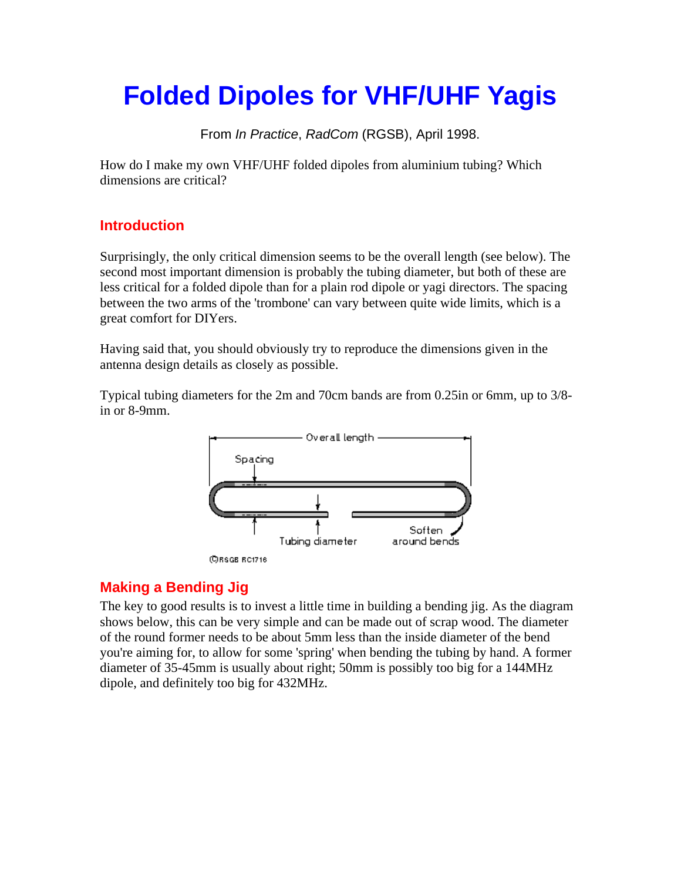# **Folded Dipoles for VHF/UHF Yagis**

From *In Practice*, *RadCom* (RGSB), April 1998.

How do I make my own VHF/UHF folded dipoles from aluminium tubing? Which dimensions are critical?

# **Introduction**

Surprisingly, the only critical dimension seems to be the overall length (see below). The second most important dimension is probably the tubing diameter, but both of these are less critical for a folded dipole than for a plain rod dipole or yagi directors. The spacing between the two arms of the 'trombone' can vary between quite wide limits, which is a great comfort for DIYers.

Having said that, you should obviously try to reproduce the dimensions given in the antenna design details as closely as possible.

Typical tubing diameters for the 2m and 70cm bands are from 0.25in or 6mm, up to 3/8 in or 8-9mm.



**CRSGE RC1716** 

# **Making a Bending Jig**

The key to good results is to invest a little time in building a bending jig. As the diagram shows below, this can be very simple and can be made out of scrap wood. The diameter of the round former needs to be about 5mm less than the inside diameter of the bend you're aiming for, to allow for some 'spring' when bending the tubing by hand. A former diameter of 35-45mm is usually about right; 50mm is possibly too big for a 144MHz dipole, and definitely too big for 432MHz.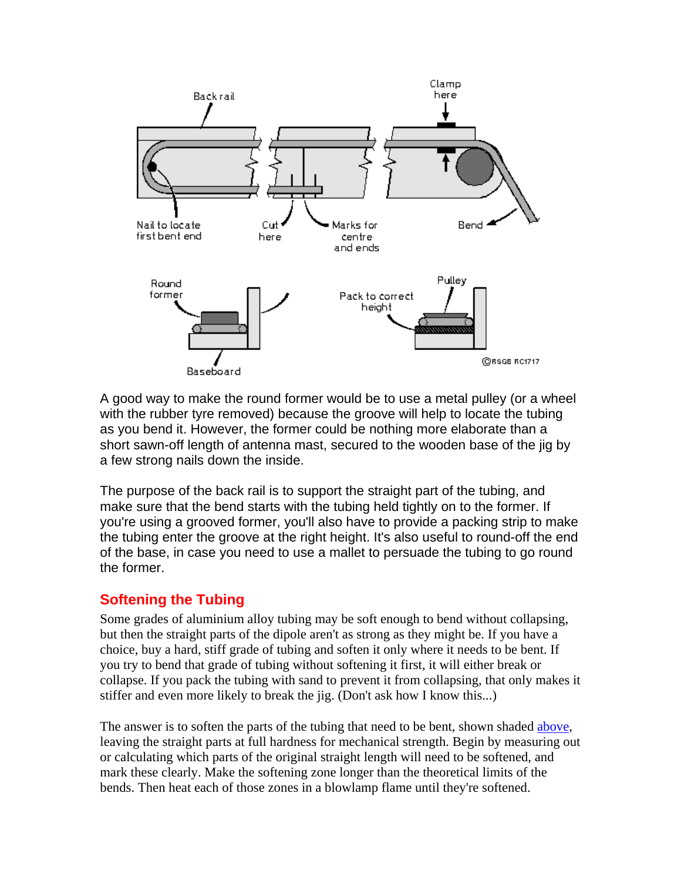

A good way to make the round former would be to use a metal pulley (or a wheel with the rubber tyre removed) because the groove will help to locate the tubing as you bend it. However, the former could be nothing more elaborate than a short sawn-off length of antenna mast, secured to the wooden base of the jig by a few strong nails down the inside.

The purpose of the back rail is to support the straight part of the tubing, and make sure that the bend starts with the tubing held tightly on to the former. If you're using a grooved former, you'll also have to provide a packing strip to make the tubing enter the groove at the right height. It's also useful to round-off the end of the base, in case you need to use a mallet to persuade the tubing to go round the former.

#### **Softening the Tubing**

Some grades of aluminium alloy tubing may be soft enough to bend without collapsing, but then the straight parts of the dipole aren't as strong as they might be. If you have a choice, buy a hard, stiff grade of tubing and soften it only where it needs to be bent. If you try to bend that grade of tubing without softening it first, it will either break or collapse. If you pack the tubing with sand to prevent it from collapsing, that only makes it stiffer and even more likely to break the jig. (Don't ask how I know this...)

The answer is to soften the parts of the tubing that need to be bent, shown shaded [above,](http://www.ifwtech.co.uk/g3sek/diy-yagi/dipoles.htm#dipole1#dipole1) leaving the straight parts at full hardness for mechanical strength. Begin by measuring out or calculating which parts of the original straight length will need to be softened, and mark these clearly. Make the softening zone longer than the theoretical limits of the bends. Then heat each of those zones in a blowlamp flame until they're softened.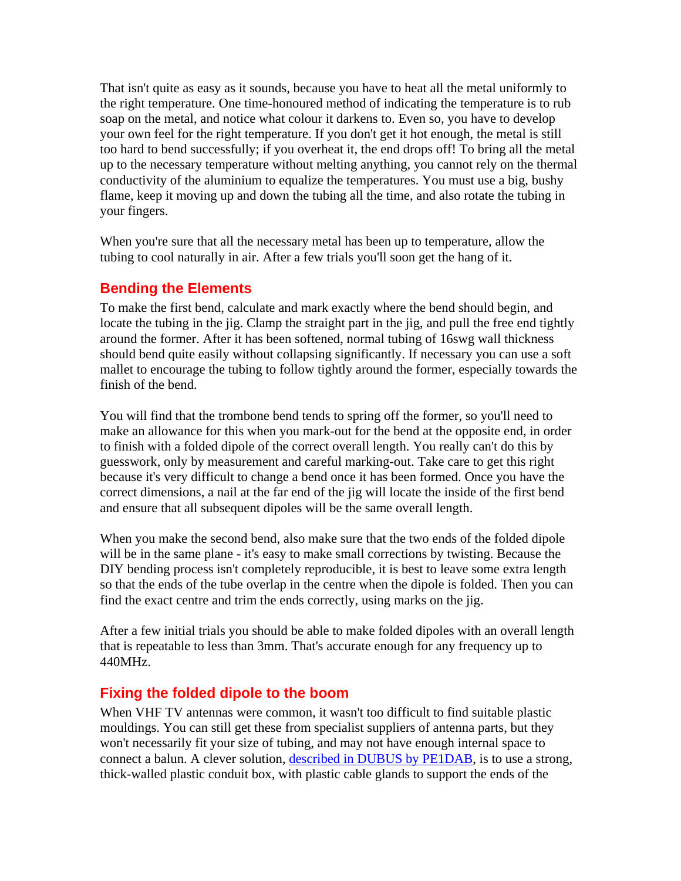That isn't quite as easy as it sounds, because you have to heat all the metal uniformly to the right temperature. One time-honoured method of indicating the temperature is to rub soap on the metal, and notice what colour it darkens to. Even so, you have to develop your own feel for the right temperature. If you don't get it hot enough, the metal is still too hard to bend successfully; if you overheat it, the end drops off! To bring all the metal up to the necessary temperature without melting anything, you cannot rely on the thermal conductivity of the aluminium to equalize the temperatures. You must use a big, bushy flame, keep it moving up and down the tubing all the time, and also rotate the tubing in your fingers.

When you're sure that all the necessary metal has been up to temperature, allow the tubing to cool naturally in air. After a few trials you'll soon get the hang of it.

## **Bending the Elements**

To make the first bend, calculate and mark exactly where the bend should begin, and locate the tubing in the jig. Clamp the straight part in the jig, and pull the free end tightly around the former. After it has been softened, normal tubing of 16swg wall thickness should bend quite easily without collapsing significantly. If necessary you can use a soft mallet to encourage the tubing to follow tightly around the former, especially towards the finish of the bend.

You will find that the trombone bend tends to spring off the former, so you'll need to make an allowance for this when you mark-out for the bend at the opposite end, in order to finish with a folded dipole of the correct overall length. You really can't do this by guesswork, only by measurement and careful marking-out. Take care to get this right because it's very difficult to change a bend once it has been formed. Once you have the correct dimensions, a nail at the far end of the jig will locate the inside of the first bend and ensure that all subsequent dipoles will be the same overall length.

When you make the second bend, also make sure that the two ends of the folded dipole will be in the same plane - it's easy to make small corrections by twisting. Because the DIY bending process isn't completely reproducible, it is best to leave some extra length so that the ends of the tube overlap in the centre when the dipole is folded. Then you can find the exact centre and trim the ends correctly, using marks on the jig.

After a few initial trials you should be able to make folded dipoles with an overall length that is repeatable to less than 3mm. That's accurate enough for any frequency up to 440MHz.

#### **Fixing the folded dipole to the boom**

When VHF TV antennas were common, it wasn't too difficult to find suitable plastic mouldings. You can still get these from specialist suppliers of antenna parts, but they won't necessarily fit your size of tubing, and may not have enough internal space to connect a balun. A clever solution, [described in DUBUS by PE1DAB](http://www.qsl.net/ok1cdj/dubus/9004-3.pdf), is to use a strong, thick-walled plastic conduit box, with plastic cable glands to support the ends of the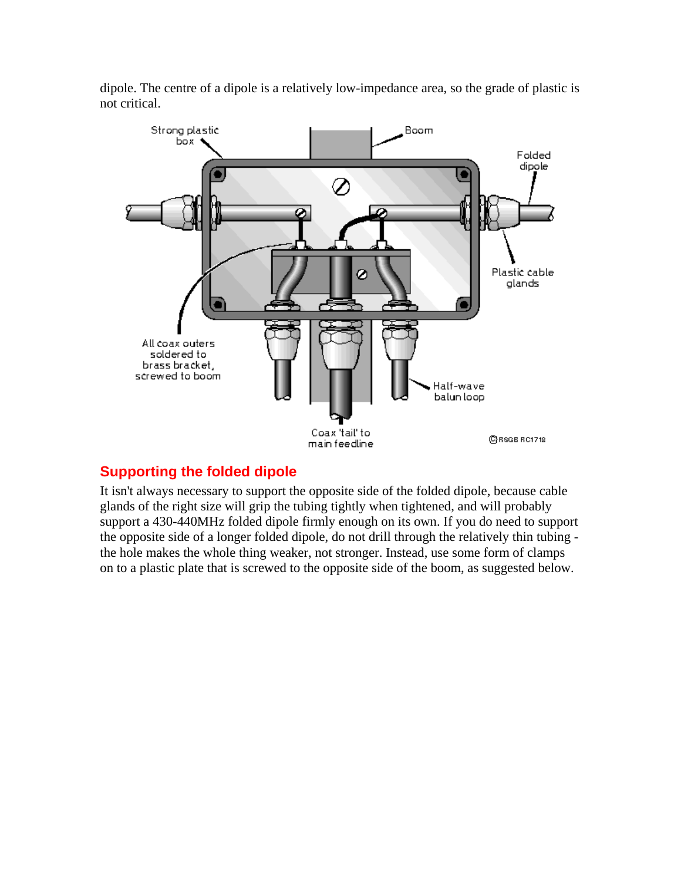



## **Supporting the folded dipole**

It isn't always necessary to support the opposite side of the folded dipole, because cable glands of the right size will grip the tubing tightly when tightened, and will probably support a 430-440MHz folded dipole firmly enough on its own. If you do need to support the opposite side of a longer folded dipole, do not drill through the relatively thin tubing the hole makes the whole thing weaker, not stronger. Instead, use some form of clamps on to a plastic plate that is screwed to the opposite side of the boom, as suggested below.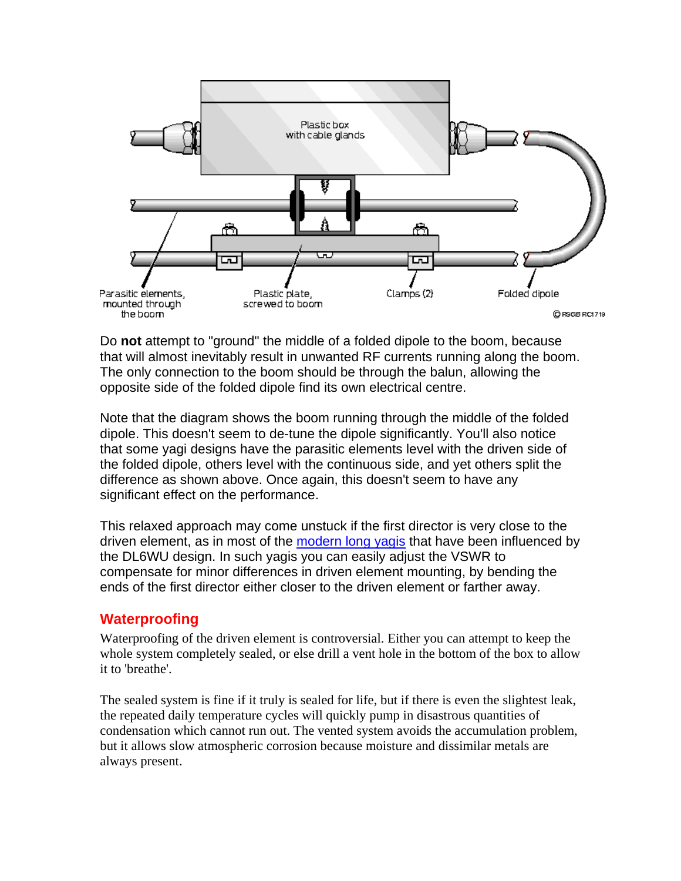

Do **not** attempt to "ground" the middle of a folded dipole to the boom, because that will almost inevitably result in unwanted RF currents running along the boom. The only connection to the boom should be through the balun, allowing the opposite side of the folded dipole find its own electrical centre.

Note that the diagram shows the boom running through the middle of the folded dipole. This doesn't seem to de-tune the dipole significantly. You'll also notice that some yagi designs have the parasitic elements level with the driven side of the folded dipole, others level with the continuous side, and yet others split the difference as shown above. Once again, this doesn't seem to have any significant effect on the performance.

This relaxed approach may come unstuck if the first director is very close to the driven element, as in most of the [modern long yagis](http://www.ifwtech.co.uk/g3sek/diy-yagi/index.htm) that have been influenced by the DL6WU design. In such yagis you can easily adjust the VSWR to compensate for minor differences in driven element mounting, by bending the ends of the first director either closer to the driven element or farther away.

#### **Waterproofing**

Waterproofing of the driven element is controversial. Either you can attempt to keep the whole system completely sealed, or else drill a vent hole in the bottom of the box to allow it to 'breathe'.

The sealed system is fine if it truly is sealed for life, but if there is even the slightest leak, the repeated daily temperature cycles will quickly pump in disastrous quantities of condensation which cannot run out. The vented system avoids the accumulation problem, but it allows slow atmospheric corrosion because moisture and dissimilar metals are always present.